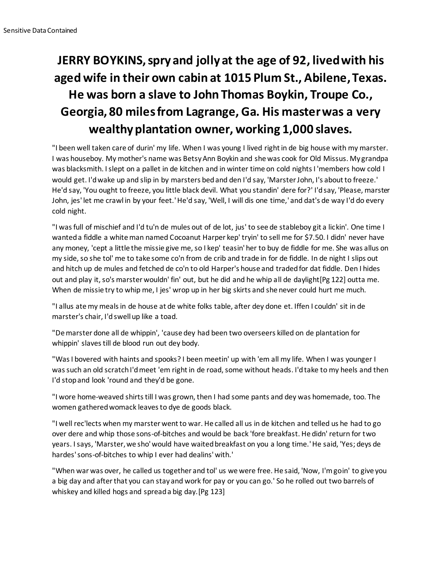## **JERRY BOYKINS, spry and jolly at the age of 92, lived with his aged wife in their own cabin at 1015 Plum St., Abilene, Texas. He was born a slave to John Thomas Boykin, Troupe Co., Georgia, 80 miles from Lagrange, Ga. His master was a very wealthy plantation owner, working 1,000 slaves.**

"I been well taken care of durin' my life. When I was young I lived right in de big house with my marster. I was houseboy. My mother's name was Betsy Ann Boykin and she was cook for Old Missus. My grandpa was blacksmith. I slept on a pallet in de kitchen and in winter time on cold nights I 'members how cold I would get. I'd wake up and slip in by marsters bed and den I'd say, 'Marster John, I's about to freeze.' He'd say, 'You ought to freeze, you little black devil. What you standin' dere for?' I'd say, 'Please, marster John, jes' let me crawl in by your feet.' He'd say, 'Well, I will dis one time,' and dat's de way I'd do every cold night.

"I was full of mischief and I'd tu'n de mules out of de lot, jus' to see de stableboy git a lickin'. One time I wanted a fiddle a white man named Cocoanut Harper kep' tryin' to sell me for \$7.50. I didn' never have any money, 'cept a little the missie give me, so I kep' teasin' her to buy de fiddle for me. She was allus on my side, so she tol' me to take some co'n from de crib and trade in for de fiddle. In de night I slips out and hitch up de mules and fetched de co'n to old Harper's house and traded for dat fiddle. Den I hides out and play it, so's marster wouldn' fin' out, but he did and he whip all de daylight[Pg 122] outta me. When de missie try to whip me, I jes' wrop up in her big skirts and she never could hurt me much.

"I allus ate my meals in de house at de white folks table, after dey done et. Iffen I couldn' sit in de marster's chair, I'd swell up like a toad.

"De marster done all de whippin', 'cause dey had been two overseers killed on de plantation for whippin' slaves till de blood run out dey body.

"Was I bovered with haints and spooks? I been meetin' up with 'em all my life. When I was younger I was such an old scratch I'd meet 'em right in de road, some without heads. I'd take to my heels and then I'd stop and look 'round and they'd be gone.

"I wore home-weaved shirts till I was grown, then I had some pants and dey was homemade, too. The women gathered womack leaves to dye de goods black.

"I well rec'lects when my marster went to war. He called all us in de kitchen and telled us he had to go over dere and whip those sons-of-bitches and would be back 'fore breakfast. He didn' return for two years. I says, 'Marster, we sho' would have waited breakfast on you a long time.' He said, 'Yes; deys de hardes' sons-of-bitches to whip I ever had dealins' with.'

"When war was over, he called us together and tol' us we were free. He said, 'Now, I'm goin' to give you a big day and after that you can stay and work for pay or you can go.' So he rolled out two barrels of whiskey and killed hogs and spread a big day.[Pg 123]